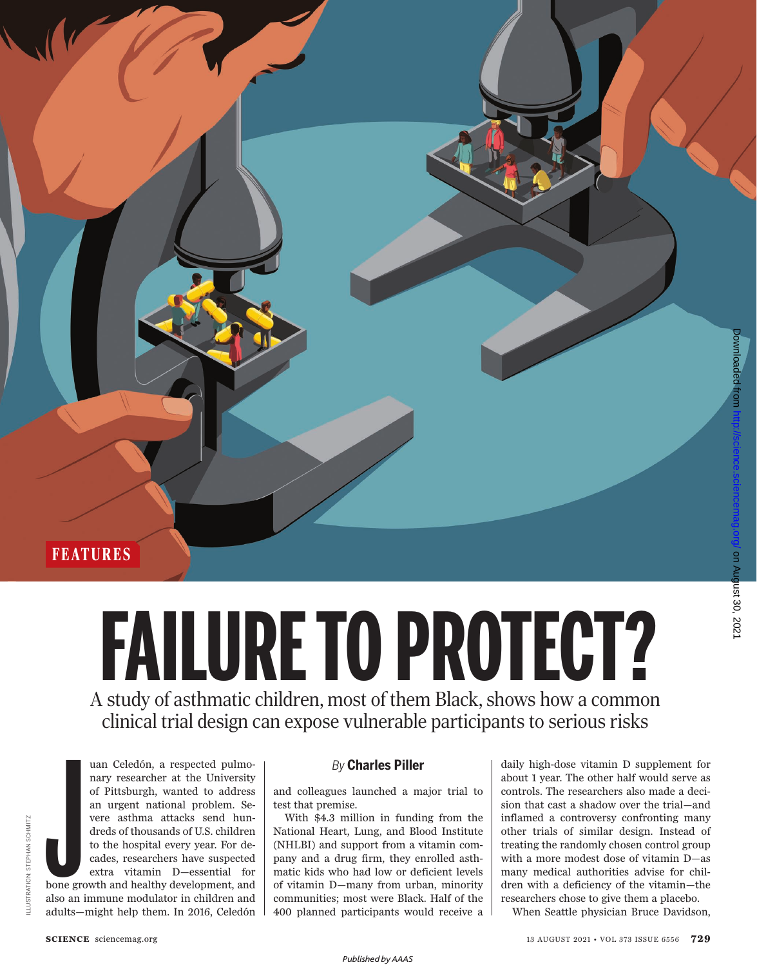**FEATURES**

# A study of asthmatic children, most of them Black, shows how a common **FAILURE TO PROTECT?**

clinical trial design can expose vulnerable participants to serious risks

*By* **Charles Piller**

uan Celedón, a respected pulmonary researcher at the University of Pittsburgh, wanted to address an urgent national problem. Severe asthma attacks send hundreds of thousands of U.S. children to the hospital every year. For decades, researchers have suspected extra vitamin D—essential for bone growth and healthy development, and also an immune modulator in children and adults—might help them. In 2016, Celedón

and colleagues launched a major trial to test that premise.

With \$4.3 million in funding from the National Heart, Lung, and Blood Institute (NHLBI) and support from a vitamin company and a drug firm, they enrolled asthmatic kids who had low or deficient levels of vitamin D—many from urban, minority communities; most were Black. Half of the 400 planned participants would receive a

daily high-dose vitamin D supplement for about 1 year. The other half would serve as controls. The researchers also made a decision that cast a shadow over the trial—and inflamed a controversy confronting many other trials of similar design. Instead of treating the randomly chosen control group with a more modest dose of vitamin D—as many medical authorities advise for children with a deficiency of the vitamin—the researchers chose to give them a placebo.

When Seattle physician Bruce Davidson,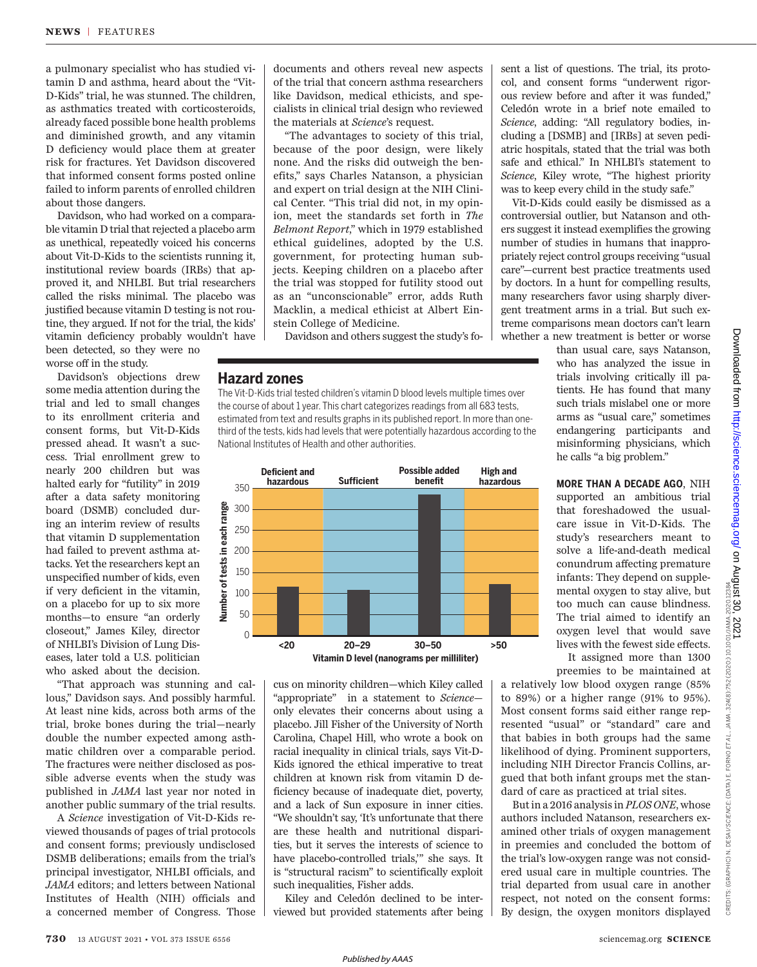a pulmonary specialist who has studied vitamin D and asthma, heard about the "Vit-D-Kids" trial, he was stunned. The children, as asthmatics treated with corticosteroids, already faced possible bone health problems and diminished growth, and any vitamin D deficiency would place them at greater risk for fractures. Yet Davidson discovered that informed consent forms posted online failed to inform parents of enrolled children about those dangers.

Davidson, who had worked on a comparable vitamin D trial that rejected a placebo arm as unethical, repeatedly voiced his concerns about Vit-D-Kids to the scientists running it, institutional review boards (IRBs) that approved it, and NHLBI. But trial researchers called the risks minimal. The placebo was justified because vitamin D testing is not routine, they argued. If not for the trial, the kids' vitamin deficiency probably wouldn't have

been detected, so they were no worse off in the study.

Davidson's objections drew some media attention during the trial and led to small changes to its enrollment criteria and consent forms, but Vit-D-Kids pressed ahead. It wasn't a success. Trial enrollment grew to nearly 200 children but was halted early for "futility" in 2019 after a data safety monitoring board (DSMB) concluded during an interim review of results that vitamin D supplementation had failed to prevent asthma attacks. Yet the researchers kept an unspecified number of kids, even if very deficient in the vitamin, on a placebo for up to six more months—to ensure "an orderly closeout," James Kiley, director of NHLBI's Division of Lung Diseases, later told a U.S. politician who asked about the decision.

"That approach was stunning and callous," Davidson says. And possibly harmful. At least nine kids, across both arms of the trial, broke bones during the trial—nearly double the number expected among asthmatic children over a comparable period. The fractures were neither disclosed as possible adverse events when the study was published in *JAMA* last year nor noted in another public summary of the trial results.

A *Science* investigation of Vit-D-Kids reviewed thousands of pages of trial protocols and consent forms; previously undisclosed DSMB deliberations; emails from the trial's principal investigator, NHLBI officials, and *JAMA* editors; and letters between National Institutes of Health (NIH) officials and a concerned member of Congress. Those documents and others reveal new aspects of the trial that concern asthma researchers like Davidson, medical ethicists, and specialists in clinical trial design who reviewed the materials at *Science*'s request.

"The advantages to society of this trial, because of the poor design, were likely none. And the risks did outweigh the benefits," says Charles Natanson, a physician and expert on trial design at the NIH Clinical Center. "This trial did not, in my opinion, meet the standards set forth in *The Belmont Report*," which in 1979 established ethical guidelines, adopted by the U.S. government, for protecting human subjects. Keeping children on a placebo after the trial was stopped for futility stood out as an "unconscionable" error, adds Ruth Macklin, a medical ethicist at Albert Einstein College of Medicine.

Davidson and others suggest the study's fo-

#### **Hazard zones**

The Vit-D-Kids trial tested children's vitamin D blood levels multiple times over the course of about 1 year. This chart categorizes readings from all 683 tests, estimated from text and results graphs in its published report. In more than onethird of the tests, kids had levels that were potentially hazardous according to the National Institutes of Health and other authorities.



cus on minority children—which Kiley called "appropriate" in a statement to *Science* only elevates their concerns about using a placebo. Jill Fisher of the University of North Carolina, Chapel Hill, who wrote a book on racial inequality in clinical trials, says Vit-D-Kids ignored the ethical imperative to treat children at known risk from vitamin D deficiency because of inadequate diet, poverty, and a lack of Sun exposure in inner cities. "We shouldn't say, 'It's unfortunate that there are these health and nutritional disparities, but it serves the interests of science to have placebo-controlled trials,'" she says. It is "structural racism" to scientifically exploit such inequalities, Fisher adds.

Kiley and Celedón declined to be interviewed but provided statements after being sent a list of questions. The trial, its protocol, and consent forms "underwent rigorous review before and after it was funded," Celedón wrote in a brief note emailed to *Science*, adding: "All regulatory bodies, including a [DSMB] and [IRBs] at seven pediatric hospitals, stated that the trial was both safe and ethical." In NHLBI's statement to *Science*, Kiley wrote, "The highest priority was to keep every child in the study safe."

Vit-D-Kids could easily be dismissed as a controversial outlier, but Natanson and others suggest it instead exemplifies the growing number of studies in humans that inappropriately reject control groups receiving "usual care"—current best practice treatments used by doctors. In a hunt for compelling results, many researchers favor using sharply divergent treatment arms in a trial. But such extreme comparisons mean doctors can't learn whether a new treatment is better or worse

> than usual care, says Natanson, who has analyzed the issue in trials involving critically ill patients. He has found that many such trials mislabel one or more arms as "usual care," sometimes endangering participants and misinforming physicians, which he calls "a big problem."

> **MORE THAN A DECADE AGO**, NIH supported an ambitious trial that foreshadowed the usualcare issue in Vit-D-Kids. The study's researchers meant to solve a life-and-death medical conundrum affecting premature infants: They depend on supplemental oxygen to stay alive, but too much can cause blindness. The trial aimed to identify an oxygen level that would save lives with the fewest side effects. It assigned more than 1300

> preemies to be maintained at

a relatively low blood oxygen range (85% to 89%) or a higher range (91% to 95%). Most consent forms said either range represented "usual" or "standard" care and that babies in both groups had the same likelihood of dying. Prominent supporters, including NIH Director Francis Collins, argued that both infant groups met the standard of care as practiced at trial sites. mental oxygen to stay alive, but<br>too much can cause blindness.<br>The trial aimed to identify an<br>oxygen level that would save<br>it assigned more than 1300<br>lives with the fewest side effects.<br>It assigned more than 1300<br>premies t

But in a 2016 analysis in *PLOS ONE*, whose authors included Natanson, researchers examined other trials of oxygen management in preemies and concluded the bottom of the trial's low-oxygen range was not considered usual care in multiple countries. The trial departed from usual care in another respect, not noted on the consent forms: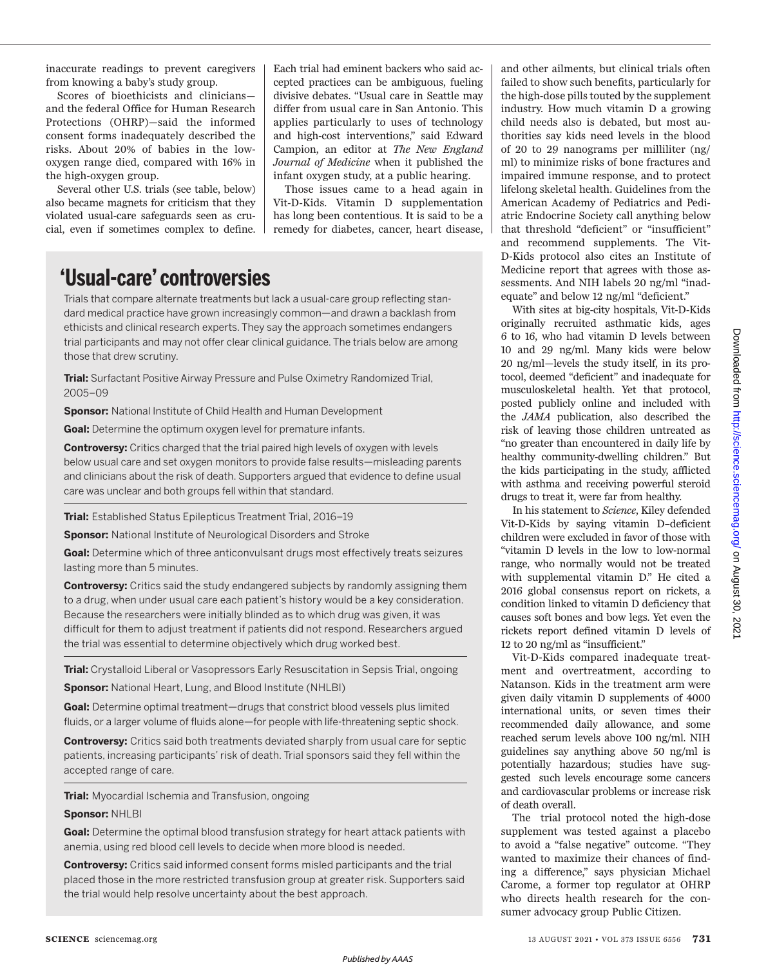inaccurate readings to prevent caregivers from knowing a baby's study group.

Scores of bioethicists and clinicians and the federal Office for Human Research Protections (OHRP)—said the informed consent forms inadequately described the risks. About 20% of babies in the lowoxygen range died, compared with 16% in the high-oxygen group.

Several other U.S. trials (see table, below) also became magnets for criticism that they violated usual-care safeguards seen as crucial, even if sometimes complex to define. Each trial had eminent backers who said accepted practices can be ambiguous, fueling divisive debates. "Usual care in Seattle may differ from usual care in San Antonio. This applies particularly to uses of technology and high-cost interventions," said Edward Campion, an editor at *The New England Journal of Medicine* when it published the infant oxygen study, at a public hearing.

Those issues came to a head again in Vit-D-Kids. Vitamin D supplementation has long been contentious. It is said to be a remedy for diabetes, cancer, heart disease,

# **'Usual-care' controversies**

Trials that compare alternate treatments but lack a usual-care group reflecting standard medical practice have grown increasingly common—and drawn a backlash from ethicists and clinical research experts. They say the approach sometimes endangers trial participants and may not offer clear clinical guidance. The trials below are among those that drew scrutiny.

**Trial:** Surfactant Positive Airway Pressure and Pulse Oximetry Randomized Trial, 2005–09

**Sponsor:** National Institute of Child Health and Human Development

**Goal:** Determine the optimum oxygen level for premature infants.

**Controversy:** Critics charged that the trial paired high levels of oxygen with levels below usual care and set oxygen monitors to provide false results—misleading parents and clinicians about the risk of death. Supporters argued that evidence to define usual care was unclear and both groups fell within that standard.

**Trial:** Established Status Epilepticus Treatment Trial, 2016–19

**Sponsor:** National Institute of Neurological Disorders and Stroke

**Goal:** Determine which of three anticonvulsant drugs most effectively treats seizures lasting more than 5 minutes.

**Controversy:** Critics said the study endangered subjects by randomly assigning them to a drug, when under usual care each patient's history would be a key consideration. Because the researchers were initially blinded as to which drug was given, it was difficult for them to adjust treatment if patients did not respond. Researchers argued the trial was essential to determine objectively which drug worked best.

**Trial:** Crystalloid Liberal or Vasopressors Early Resuscitation in Sepsis Trial, ongoing

**Sponsor:** National Heart, Lung, and Blood Institute (NHLBI)

**Goal:** Determine optimal treatment—drugs that constrict blood vessels plus limited fluids, or a larger volume of fluids alone—for people with life-threatening septic shock.

**Controversy:** Critics said both treatments deviated sharply from usual care for septic patients, increasing participants'risk of death. Trial sponsors said they fell within the accepted range of care.

**Trial:** Myocardial Ischemia and Transfusion, ongoing

#### **Sponsor:** NHLBI

**Goal:** Determine the optimal blood transfusion strategy for heart attack patients with anemia, using red blood cell levels to decide when more blood is needed.

**Controversy:** Critics said informed consent forms misled participants and the trial placed those in the more restricted transfusion group at greater risk. Supporters said the trial would help resolve uncertainty about the best approach.

and other ailments, but clinical trials often failed to show such benefits, particularly for the high-dose pills touted by the supplement industry. How much vitamin D a growing child needs also is debated, but most authorities say kids need levels in the blood of 20 to 29 nanograms per milliliter (ng/ ml) to minimize risks of bone fractures and impaired immune response, and to protect lifelong skeletal health. Guidelines from the American Academy of Pediatrics and Pediatric Endocrine Society call anything below that threshold "deficient" or "insufficient" and recommend supplements. The Vit-D-Kids protocol also cites an Institute of Medicine report that agrees with those assessments. And NIH labels 20 ng/ml "inadequate" and below 12 ng/ml "deficient."

With sites at big-city hospitals, Vit-D-Kids originally recruited asthmatic kids, ages 6 to 16, who had vitamin D levels between 10 and 29 ng/ml. Many kids were below 20 ng/ml—levels the study itself, in its protocol, deemed "deficient" and inadequate for musculoskeletal health. Yet that protocol, posted publicly online and included with the *JAMA* publication, also described the risk of leaving those children untreated as "no greater than encountered in daily life by healthy community-dwelling children." But the kids participating in the study, afflicted with asthma and receiving powerful steroid drugs to treat it, were far from healthy.

In his statement to *Science*, Kiley defended Vit-D-Kids by saying vitamin D–deficient children were excluded in favor of those with "vitamin D levels in the low to low-normal range, who normally would not be treated with supplemental vitamin D." He cited a 2016 global consensus report on rickets, a condition linked to vitamin D deficiency that causes soft bones and bow legs. Yet even the rickets report defined vitamin D levels of 12 to 20 ng/ml as "insufficient."

Vit-D-Kids compared inadequate treatment and overtreatment, according to Natanson. Kids in the treatment arm were given daily vitamin D supplements of 4000 international units, or seven times their recommended daily allowance, and some reached serum levels above 100 ng/ml. NIH guidelines say anything above 50 ng/ml is potentially hazardous; studies have suggested such levels encourage some cancers and cardiovascular problems or increase risk of death overall.

The trial protocol noted the high-dose supplement was tested against a placebo to avoid a "false negative" outcome. "They wanted to maximize their chances of finding a difference," says physician Michael Carome, a former top regulator at OHRP who directs health research for the consumer advocacy group Public Citizen.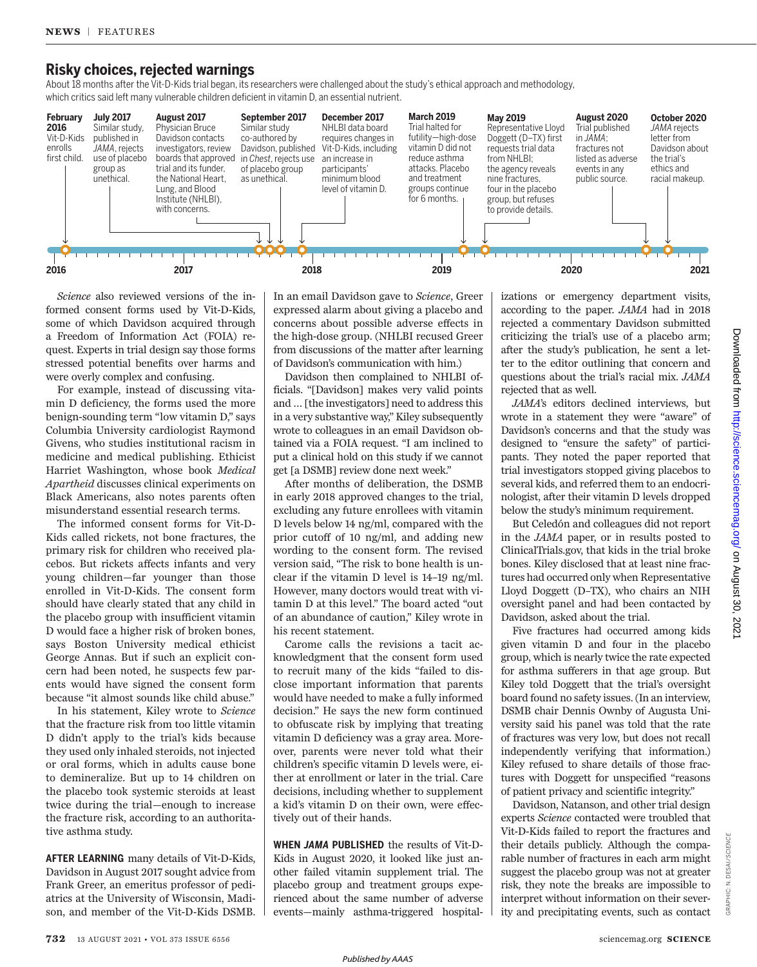## **Risky choices, rejected warnings**

About 18 months after the Vit-D-Kids trial began, its researchers were challenged about the study's ethical approach and methodology, which critics said left many vulnerable children deficient in vitamin D, an essential nutrient.



*Science* also reviewed versions of the informed consent forms used by Vit-D-Kids, some of which Davidson acquired through a Freedom of Information Act (FOIA) request. Experts in trial design say those forms stressed potential benefits over harms and were overly complex and confusing.

For example, instead of discussing vitamin D deficiency, the forms used the more benign-sounding term "low vitamin D," says Columbia University cardiologist Raymond Givens, who studies institutional racism in medicine and medical publishing. Ethicist Harriet Washington, whose book *Medical Apartheid* discusses clinical experiments on Black Americans, also notes parents often misunderstand essential research terms.

The informed consent forms for Vit-D-Kids called rickets, not bone fractures, the primary risk for children who received placebos. But rickets affects infants and very young children—far younger than those enrolled in Vit-D-Kids. The consent form should have clearly stated that any child in the placebo group with insufficient vitamin D would face a higher risk of broken bones, says Boston University medical ethicist George Annas. But if such an explicit concern had been noted, he suspects few parents would have signed the consent form because "it almost sounds like child abuse."

In his statement, Kiley wrote to *Science* that the fracture risk from too little vitamin D didn't apply to the trial's kids because they used only inhaled steroids, not injected or oral forms, which in adults cause bone to demineralize. But up to 14 children on the placebo took systemic steroids at least twice during the trial—enough to increase the fracture risk, according to an authoritative asthma study.

**AFTER LEARNING** many details of Vit-D-Kids, Davidson in August 2017 sought advice from Frank Greer, an emeritus professor of pediatrics at the University of Wisconsin, Madison, and member of the Vit-D-Kids DSMB. In an email Davidson gave to *Science*, Greer expressed alarm about giving a placebo and concerns about possible adverse effects in the high-dose group. (NHLBI recused Greer from discussions of the matter after learning of Davidson's communication with him.)

Davidson then complained to NHLBI officials. "[Davidson] makes very valid points and … [the investigators] need to address this in a very substantive way," Kiley subsequently wrote to colleagues in an email Davidson obtained via a FOIA request. "I am inclined to put a clinical hold on this study if we cannot get [a DSMB] review done next week."

After months of deliberation, the DSMB in early 2018 approved changes to the trial, excluding any future enrollees with vitamin D levels below 14 ng/ml, compared with the prior cutoff of 10 ng/ml, and adding new wording to the consent form. The revised version said, "The risk to bone health is unclear if the vitamin D level is 14–19 ng/ml. However, many doctors would treat with vitamin D at this level." The board acted "out of an abundance of caution," Kiley wrote in his recent statement.

Carome calls the revisions a tacit acknowledgment that the consent form used to recruit many of the kids "failed to disclose important information that parents would have needed to make a fully informed decision." He says the new form continued to obfuscate risk by implying that treating vitamin D deficiency was a gray area. Moreover, parents were never told what their children's specific vitamin D levels were, either at enrollment or later in the trial. Care decisions, including whether to supplement a kid's vitamin D on their own, were effectively out of their hands.

**WHEN** *JAMA* **PUBLISHED** the results of Vit-D-Kids in August 2020, it looked like just another failed vitamin supplement trial. The placebo group and treatment groups experienced about the same number of adverse events—mainly asthma-triggered hospitalizations or emergency department visits, according to the paper. *JAMA* had in 2018 rejected a commentary Davidson submitted criticizing the trial's use of a placebo arm; after the study's publication, he sent a letter to the editor outlining that concern and questions about the trial's racial mix. *JAMA*  rejected that as well.

*JAMA*'s editors declined interviews, but wrote in a statement they were "aware" of Davidson's concerns and that the study was designed to "ensure the safety" of participants. They noted the paper reported that trial investigators stopped giving placebos to several kids, and referred them to an endocrinologist, after their vitamin D levels dropped below the study's minimum requirement.

But Celedón and colleagues did not report in the *JAMA* paper, or in results posted to ClinicalTrials.gov, that kids in the trial broke bones. Kiley disclosed that at least nine fractures had occurred only when Representative Lloyd Doggett (D–TX), who chairs an NIH oversight panel and had been contacted by Davidson, asked about the trial.

Five fractures had occurred among kids given vitamin D and four in the placebo group, which is nearly twice the rate expected for asthma sufferers in that age group. But Kiley told Doggett that the trial's oversight board found no safety issues. (In an interview, DSMB chair Dennis Ownby of Augusta University said his panel was told that the rate of fractures was very low, but does not recall independently verifying that information.) Kiley refused to share details of those fractures with Doggett for unspecified "reasons of patient privacy and scientific integrity."

Davidson, Natanson, and other trial design experts *Science* contacted were troubled that Vit-D-Kids failed to report the fractures and their details publicly. Although the comparable number of fractures in each arm might suggest the placebo group was not at greater risk, they note the breaks are impossible to interpret without information on their severity and precipitating events, such as contact

GRAPHIC: N. DESAI/*SCIENCE*

GRAPHIC: N. DESAI/SCIENCE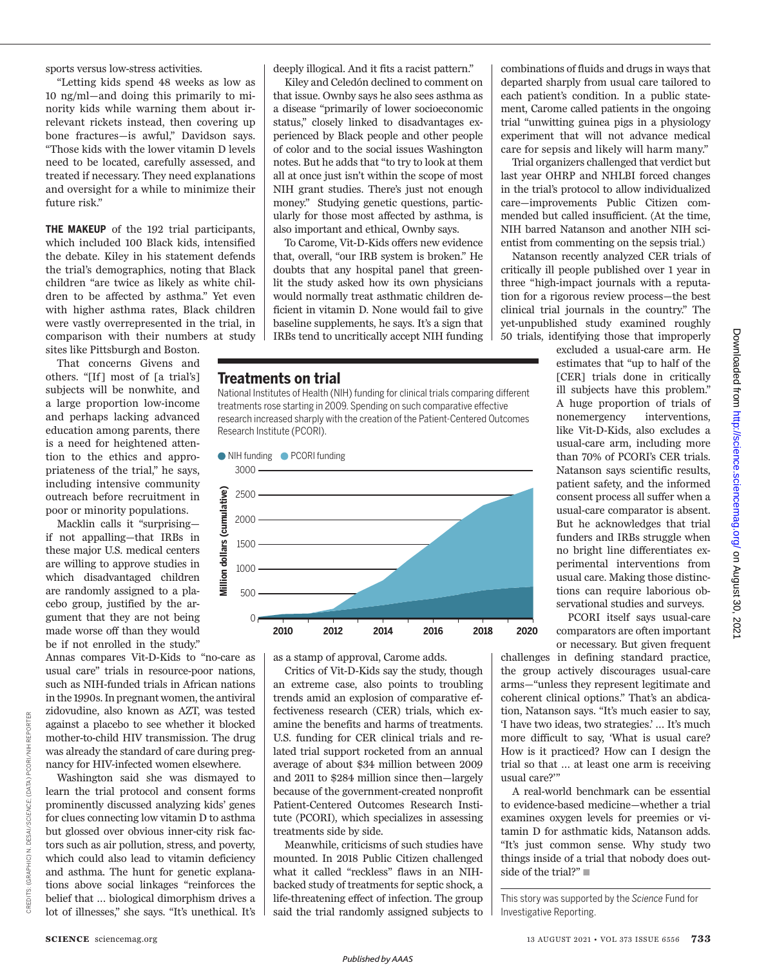sports versus low-stress activities.

"Letting kids spend 48 weeks as low as 10 ng/ml—and doing this primarily to minority kids while warning them about irrelevant rickets instead, then covering up bone fractures—is awful," Davidson says. "Those kids with the lower vitamin D levels need to be located, carefully assessed, and treated if necessary. They need explanations and oversight for a while to minimize their future risk."

**THE MAKEUP** of the 192 trial participants, which included 100 Black kids, intensified the debate. Kiley in his statement defends the trial's demographics, noting that Black children "are twice as likely as white children to be affected by asthma." Yet even with higher asthma rates, Black children were vastly overrepresented in the trial, in comparison with their numbers at study sites like Pittsburgh and Boston.

That concerns Givens and others. "[If] most of [a trial's] subjects will be nonwhite, and a large proportion low-income and perhaps lacking advanced education among parents, there is a need for heightened attention to the ethics and appropriateness of the trial," he says, including intensive community outreach before recruitment in poor or minority populations.

Macklin calls it "surprising if not appalling—that IRBs in these major U.S. medical centers are willing to approve studies in which disadvantaged children are randomly assigned to a placebo group, justified by the argument that they are not being made worse off than they would be if not enrolled in the study."

Annas compares Vit-D-Kids to "no-care as usual care" trials in resource-poor nations, such as NIH-funded trials in African nations in the 1990s. In pregnant women, the antiviral zidovudine, also known as AZT, was tested against a placebo to see whether it blocked mother-to-child HIV transmission. The drug was already the standard of care during pregnancy for HIV-infected women elsewhere.

Washington said she was dismayed to learn the trial protocol and consent forms prominently discussed analyzing kids' genes for clues connecting low vitamin D to asthma but glossed over obvious inner-city risk factors such as air pollution, stress, and poverty, which could also lead to vitamin deficiency and asthma. The hunt for genetic explanations above social linkages "reinforces the belief that … biological dimorphism drives a lot of illnesses," she says. "It's unethical. It's deeply illogical. And it fits a racist pattern."

Kiley and Celedón declined to comment on that issue. Ownby says he also sees asthma as a disease "primarily of lower socioeconomic status," closely linked to disadvantages experienced by Black people and other people of color and to the social issues Washington notes. But he adds that "to try to look at them all at once just isn't within the scope of most NIH grant studies. There's just not enough money." Studying genetic questions, particularly for those most affected by asthma, is also important and ethical, Ownby says.

To Carome, Vit-D-Kids offers new evidence that, overall, "our IRB system is broken." He doubts that any hospital panel that greenlit the study asked how its own physicians would normally treat asthmatic children deficient in vitamin D. None would fail to give baseline supplements, he says. It's a sign that IRBs tend to uncritically accept NIH funding

#### **Treatments on trial**

National Institutes of Health (NIH) funding for clinical trials comparing different treatments rose starting in 2009. Spending on such comparative effective research increased sharply with the creation of the Patient-Centered Outcomes Research Institute (PCORI).



as a stamp of approval, Carome adds.

Critics of Vit-D-Kids say the study, though an extreme case, also points to troubling trends amid an explosion of comparative effectiveness research (CER) trials, which examine the benefits and harms of treatments. U.S. funding for CER clinical trials and related trial support rocketed from an annual average of about \$34 million between 2009 and 2011 to \$284 million since then—largely because of the government-created nonprofit Patient-Centered Outcomes Research Institute (PCORI), which specializes in assessing treatments side by side.

Meanwhile, criticisms of such studies have mounted. In 2018 Public Citizen challenged what it called "reckless" flaws in an NIHbacked study of treatments for septic shock, a life-threatening effect of infection. The group said the trial randomly assigned subjects to

combinations of fluids and drugs in ways that departed sharply from usual care tailored to each patient's condition. In a public statement, Carome called patients in the ongoing trial "unwitting guinea pigs in a physiology experiment that will not advance medical care for sepsis and likely will harm many."

Trial organizers challenged that verdict but last year OHRP and NHLBI forced changes in the trial's protocol to allow individualized care—improvements Public Citizen commended but called insufficient. (At the time, NIH barred Natanson and another NIH scientist from commenting on the sepsis trial.)

Natanson recently analyzed CER trials of critically ill people published over 1 year in three "high-impact journals with a reputation for a rigorous review process—the best clinical trial journals in the country." The yet-unpublished study examined roughly 50 trials, identifying those that improperly

excluded a usual-care arm. He estimates that "up to half of the [CER] trials done in critically ill subjects have this problem." A huge proportion of trials of nonemergency interventions, like Vit-D-Kids, also excludes a usual-care arm, including more than 70% of PCORI's CER trials. Natanson says scientific results, patient safety, and the informed consent process all suffer when a usual-care comparator is absent. But he acknowledges that trial funders and IRBs struggle when no bright line differentiates experimental interventions from usual care. Making those distinctions can require laborious observational studies and surveys.

PCORI itself says usual-care comparators are often important or necessary. But given frequent

challenges in defining standard practice, the group actively discourages usual-care arms—"unless they represent legitimate and coherent clinical options." That's an abdication, Natanson says. "It's much easier to say, 'I have two ideas, two strategies.' … It's much more difficult to say, 'What is usual care? How is it practiced? How can I design the trial so that … at least one arm is receiving usual care?'"

A real-world benchmark can be essential to evidence-based medicine—whether a trial examines oxygen levels for preemies or vitamin D for asthmatic kids, Natanson adds. "It's just common sense. Why study two things inside of a trial that nobody does outside of the trial?"

This story was supported by the *Science* Fund for Investigative Reporting.